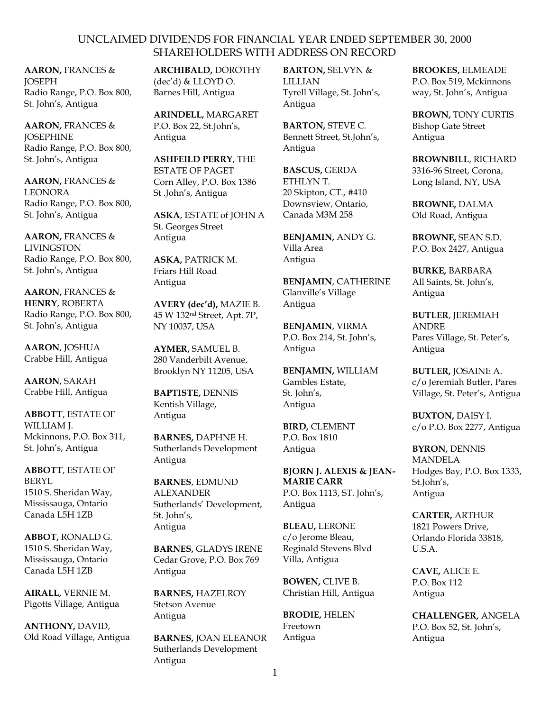**AARON,** FRANCES & *JOSEPH* Radio Range, P.O. Box 800, St. John's, Antigua

**AARON,** FRANCES & **JOSEPHINE** Radio Range, P.O. Box 800, St. John's, Antigua

**AARON,** FRANCES & LEONORA Radio Range, P.O. Box 800, St. John's, Antigua

**AARON,** FRANCES & LIVINGSTON Radio Range, P.O. Box 800, St. John's, Antigua

**AARON,** FRANCES & **HENRY**, ROBERTA Radio Range, P.O. Box 800, St. John's, Antigua

**AARON**, JOSHUA Crabbe Hill, Antigua

**AARON**, SARAH Crabbe Hill, Antigua

**ABBOTT**, ESTATE OF WILLIAM J. Mckinnons, P.O. Box 311, St. John's, Antigua

**ABBOTT**, ESTATE OF BERYL 1510 S. Sheridan Way, Mississauga, Ontario Canada L5H 1ZB

**ABBOT,** RONALD G. 1510 S. Sheridan Way, Mississauga, Ontario Canada L5H 1ZB

**AIRALL,** VERNIE M. Pigotts Village, Antigua

**ANTHONY,** DAVID, Old Road Village, Antigua **ARCHIBALD,** DOROTHY (dec'd) & LLOYD O. Barnes Hill, Antigua

**ARINDELL,** MARGARET P.O. Box 22, St.John's, Antigua

**ASHFEILD PERRY**, THE ESTATE OF PAGET Corn Alley, P.O. Box 1386 St .John's, Antigua

**ASKA**, ESTATE of JOHN A St. Georges Street Antigua

**ASKA,** PATRICK M. Friars Hill Road Antigua

**AVERY (dec'd),** MAZIE B. 45 W 132nd Street, Apt. 7P, NY 10037, USA

**AYMER,** SAMUEL B. 280 Vanderbilt Avenue, Brooklyn NY 11205, USA

**BAPTISTE,** DENNIS Kentish Village, Antigua

**BARNES,** DAPHNE H. Sutherlands Development Antigua

**BARNES**, EDMUND ALEXANDER Sutherlands' Development, St. John's, Antigua

**BARNES,** GLADYS IRENE Cedar Grove, P.O. Box 769 Antigua

**BARNES,** HAZELROY Stetson Avenue Antigua

**BARNES,** JOAN ELEANOR Sutherlands Development Antigua

**BARTON,** SELVYN & LILLIAN Tyrell Village, St. John's, Antigua

**BARTON,** STEVE C. Bennett Street, St.John's, Antigua

**BASCUS,** GERDA ETHLYN T. 20 Skipton, CT., #410 Downsview, Ontario, Canada M3M 258

**BENJAMIN,** ANDY G. Villa Area Antigua

**BENJAMIN**, CATHERINE Glanville's Village Antigua

**BENJAMIN**, VIRMA P.O. Box 214, St. John's, Antigua

**BENJAMIN,** WILLIAM Gambles Estate, St. John's, Antigua

**BIRD,** CLEMENT P.O. Box 1810 Antigua

**BJORN J. ALEXIS & JEAN-MARIE CARR** P.O. Box 1113, ST. John's, Antigua

**BLEAU,** LERONE c/o Jerome Bleau, Reginald Stevens Blvd Villa, Antigua

**BOWEN,** CLIVE B. Christian Hill, Antigua

**BRODIE,** HELEN Freetown Antigua

**BROOKES,** ELMEADE P.O. Box 519, Mckinnons way, St. John's, Antigua

**BROWN,** TONY CURTIS Bishop Gate Street Antigua

**BROWNBILL**, RICHARD 3316-96 Street, Corona, Long Island, NY, USA

**BROWNE,** DALMA Old Road, Antigua

**BROWNE,** SEAN S.D. P.O. Box 2427, Antigua

**BURKE,** BARBARA All Saints, St. John's, Antigua

**BUTLER**, JEREMIAH ANDRE Pares Village, St. Peter's, Antigua

**BUTLER,** JOSAINE A. c/o Jeremiah Butler, Pares Village, St. Peter's, Antigua

**BUXTON,** DAISY I. c/o P.O. Box 2277, Antigua

**BYRON,** DENNIS MANDELA Hodges Bay, P.O. Box 1333, St.John's, Antigua

**CARTER,** ARTHUR 1821 Powers Drive, Orlando Florida 33818, U.S.A.

**CAVE,** ALICE E. P.O. Box 112 Antigua

**CHALLENGER,** ANGELA P.O. Box 52, St. John's, Antigua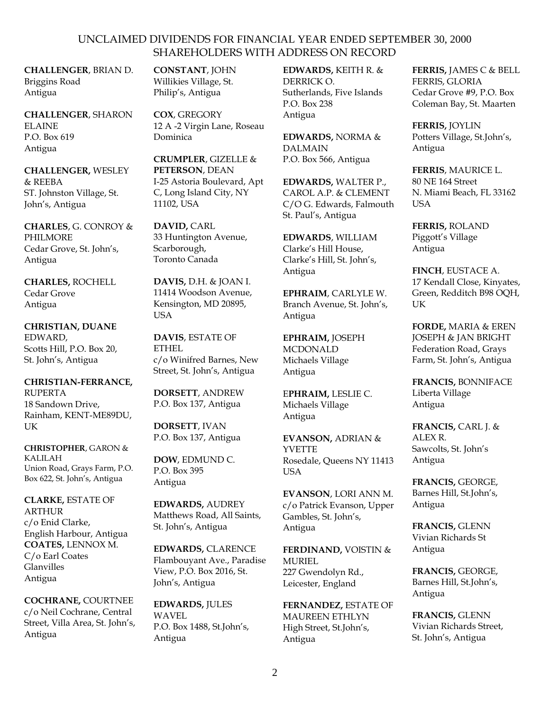**CHALLENGER**, BRIAN D. Briggins Road Antigua

**CHALLENGER**, SHARON ELAINE P.O. Box 619 Antigua

**CHALLENGER,** WESLEY & REEBA ST. Johnston Village, St. John's, Antigua

**CHARLES**, G. CONROY & PHILMORE Cedar Grove, St. John's, Antigua

**CHARLES,** ROCHELL Cedar Grove Antigua

**CHRISTIAN, DUANE** EDWARD, Scotts Hill, P.O. Box 20, St. John's, Antigua

**CHRISTIAN-FERRANCE,** RUPERTA 18 Sandown Drive, Rainham, KENT-ME89DU, UK

**CHRISTOPHER**, GARON & KALILAH Union Road, Grays Farm, P.O. Box 622, St. John's, Antigua

**CLARKE,** ESTATE OF **ARTHUR** c/o Enid Clarke, English Harbour, Antigua **COATES,** LENNOX M. C/o Earl Coates Glanvilles Antigua

**COCHRANE,** COURTNEE c/o Neil Cochrane, Central Street, Villa Area, St. John's, Antigua

**CONSTANT**, JOHN Willikies Village, St. Philip's, Antigua

**COX**, GREGORY 12 A -2 Virgin Lane, Roseau Dominica

**CRUMPLER**, GIZELLE & **PETERSON**, DEAN I-25 Astoria Boulevard, Apt C, Long Island City, NY 11102, USA

**DAVID,** CARL 33 Huntington Avenue, Scarborough, Toronto Canada

**DAVIS,** D.H. & JOAN I. 11414 Woodson Avenue, Kensington, MD 20895, USA

**DAVIS**, ESTATE OF ETHEL c/o Winifred Barnes, New Street, St. John's, Antigua

**DORSETT**, ANDREW P.O. Box 137, Antigua

**DORSETT**, IVAN P.O. Box 137, Antigua

**DOW**, EDMUND C. P.O. Box 395 Antigua

**EDWARDS,** AUDREY Matthews Road, All Saints, St. John's, Antigua

**EDWARDS,** CLARENCE Flambouyant Ave., Paradise View, P.O. Box 2016, St. John's, Antigua

**EDWARDS,** JULES WAVEL P.O. Box 1488, St.John's, Antigua

**EDWARDS,** KEITH R. & DERRICK O. Sutherlands, Five Islands P.O. Box 238 Antigua

**EDWARDS,** NORMA & DALMAIN P.O. Box 566, Antigua

**EDWARDS,** WALTER P., CAROL A.P. & CLEMENT C/O G. Edwards, Falmouth St. Paul's, Antigua

**EDWARDS**, WILLIAM Clarke's Hill House, Clarke's Hill, St. John's, Antigua

**EPHRAIM**, CARLYLE W. Branch Avenue, St. John's, Antigua

**EPHRAIM,** JOSEPH MCDONALD Michaels Village Antigua

E**PHRAIM,** LESLIE C. Michaels Village Antigua

**EVANSON,** ADRIAN & **YVETTE** Rosedale, Queens NY 11413 **I**ISA

**EVANSON**, LORI ANN M. c/o Patrick Evanson, Upper Gambles, St. John's, Antigua

**FERDINAND,** VOISTIN & MURIEL 227 Gwendolyn Rd., Leicester, England

**FERNANDEZ,** ESTATE OF MAUREEN ETHLYN High Street, St.John's, Antigua

**FERRIS,** JAMES C & BELL FERRIS, GLORIA Cedar Grove #9, P.O. Box Coleman Bay, St. Maarten

**FERRIS,** JOYLIN Potters Village, St.John's, Antigua

**FERRIS**, MAURICE L. 80 NE 164 Street N. Miami Beach, FL 33162 USA

**FERRIS,** ROLAND Piggott's Village Antigua

**FINCH**, EUSTACE A. 17 Kendall Close, Kinyates, Green, Redditch B98 OQH, **I**K

**FORDE,** MARIA & EREN JOSEPH & JAN BRIGHT Federation Road, Grays Farm, St. John's, Antigua

**FRANCIS,** BONNIFACE Liberta Village Antigua

**FRANCIS,** CARL J. & ALEX R. Sawcolts, St. John's Antigua

**FRANCIS,** GEORGE, Barnes Hill, St.John's, Antigua

**FRANCIS,** GLENN Vivian Richards St Antigua

**FRANCIS,** GEORGE, Barnes Hill, St.John's, Antigua

**FRANCIS,** GLENN Vivian Richards Street, St. John's, Antigua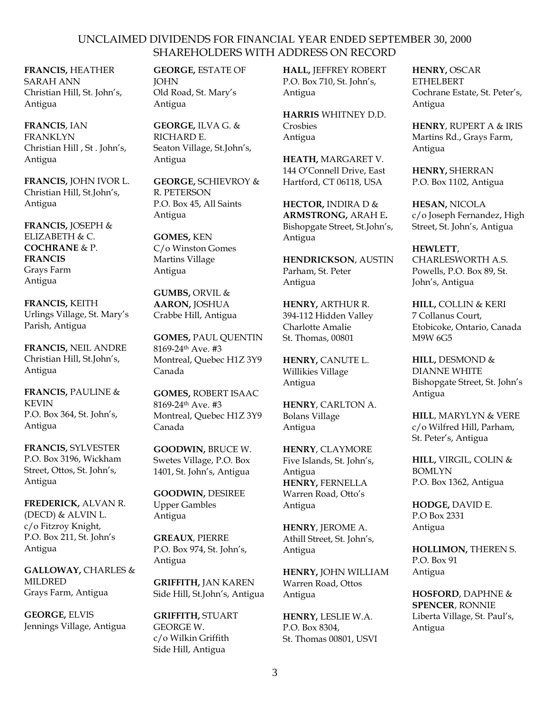**FRANCIS,** HEATHER SARAH ANN Christian Hill, St. John's, Antigua

**FRANCIS**, IAN FRANKLYN Christian Hill , St . John's, Antigua

**FRANCIS,** JOHN IVOR L. Christian Hill, St.John's, Antigua

**FRANCIS,** JOSEPH & ELIZABETH & C. **COCHRANE** & P. **FRANCIS** Grays Farm Antigua

**FRANCIS,** KEITH Urlings Village, St. Mary's Parish, Antigua

**FRANCIS,** NEIL ANDRE Christian Hill, St.John's, Antigua

**FRANCIS,** PAULINE & KEVIN P.O. Box 364, St. John's, Antigua

**FRANCIS,** SYLVESTER P.O. Box 3196, Wickham Street, Ottos, St. John's, Antigua

**FREDERICK,** ALVAN R. (DECD) & ALVIN L. c/o Fitzroy Knight, P.O. Box 211, St. John's Antigua

**GALLOWAY,** CHARLES & MILDRED Grays Farm, Antigua

**GEORGE,** ELVIS Jennings Village, Antigua **GEORGE,** ESTATE OF JOHN Old Road, St. Mary's Antigua

**GEORGE,** ILVA G. & RICHARD E. Seaton Village, St.John's, Antigua

**GEORGE,** SCHIEVROY & R. PETERSON P.O. Box 45, All Saints Antigua

**GOMES,** KEN C/o Winston Gomes Martins Village Antigua

**GUMBS,** ORVIL & **AARON,** JOSHUA Crabbe Hill, Antigua

**GOMES,** PAUL QUENTIN 8169-24th Ave. #3 Montreal, Quebec H1Z 3Y9 Canada

**GOMES,** ROBERT ISAAC 8169-24th Ave. #3 Montreal, Quebec H1Z 3Y9 Canada

**GOODWIN,** BRUCE W. Swetes Village, P.O. Box 1401, St. John's, Antigua

**GOODWIN,** DESIREE Upper Gambles Antigua

**GREAUX**, PIERRE P.O. Box 974, St. John's, Antigua

**GRIFFITH,** JAN KAREN Side Hill, St.John's, Antigua

**GRIFFITH,** STUART GEORGE W. c/o Wilkin Griffith Side Hill, Antigua

**HALL,** JEFFREY ROBERT P.O. Box 710, St. John's, Antigua

**HARRIS** WHITNEY D.D. Crosbies Antigua

**HEATH,** MARGARET V. 144 O'Connell Drive, East Hartford, CT 06118, USA

**HECTOR,** INDIRA D & **ARMSTRONG,** ARAH E**.** Bishopgate Street, St.John's, Antigua

**HENDRICKSON**, AUSTIN Parham, St. Peter Antigua

**HENRY,** ARTHUR R. 394-112 Hidden Valley Charlotte Amalie St. Thomas, 00801

**HENRY,** CANUTE L. Willikies Village Antigua

**HENRY**, CARLTON A. Bolans Village Antigua

**HENRY**, CLAYMORE Five Islands, St. John's, Antigua **HENRY,** FERNELLA Warren Road, Otto's Antigua

**HENRY**, JEROME A. Athill Street, St. John's, Antigua

**HENRY,** JOHN WILLIAM Warren Road, Ottos Antigua

**HENRY,** LESLIE W.A. P.O. Box 8304, St. Thomas 00801, USVI **HENRY,** OSCAR ETHELBERT Cochrane Estate, St. Peter's, Antigua

**HENRY**, RUPERT A & IRIS Martins Rd., Grays Farm, Antigua

**HENRY,** SHERRAN P.O. Box 1102, Antigua

**HESAN,** NICOLA c/o Joseph Fernandez, High Street, St. John's, Antigua

**HEWLETT**, CHARLESWORTH A.S. Powells, P.O. Box 89, St. John's, Antigua

**HILL,** COLLIN & KERI 7 Collanus Court, Etobicoke, Ontario, Canada M9W 6G5

**HILL,** DESMOND & DIANNE WHITE Bishopgate Street, St. John's Antigua

**HILL**, MARYLYN & VERE c/o Wilfred Hill, Parham, St. Peter's, Antigua

**HILL,** VIRGIL, COLIN & BOMLYN P.O. Box 1362, Antigua

**HODGE,** DAVID E. P.O Box 2331 Antigua

**HOLLIMON,** THEREN S. P.O. Box 91 Antigua

**HOSFORD**, DAPHNE & **SPENCER**, RONNIE Liberta Village, St. Paul's, Antigua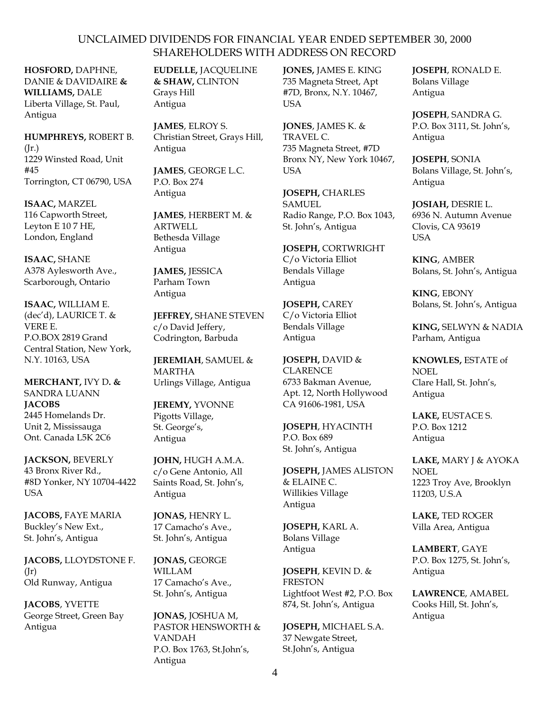**HOSFORD,** DAPHNE, DANIE & DAVIDAIRE **& WILLIAMS,** DALE Liberta Village, St. Paul, Antigua

**HUMPHREYS,** ROBERT B.  $(Ir.)$ 1229 Winsted Road, Unit #45 Torrington, CT 06790, USA

**ISAAC,** MARZEL 116 Capworth Street, Leyton E 10 7 HE, London, England

**ISAAC,** SHANE A378 Aylesworth Ave., Scarborough, Ontario

**ISAAC,** WILLIAM E. (dec'd), LAURICE T. & VERE E. P.O.BOX 2819 Grand Central Station, New York, N.Y. 10163, USA

**MERCHANT,** IVY D**. &**  SANDRA LUANN **JACOBS** 2445 Homelands Dr. Unit 2, Mississauga Ont. Canada L5K 2C6

**JACKSON,** BEVERLY 43 Bronx River Rd., #8D Yonker, NY 10704-4422 USA

**JACOBS,** FAYE MARIA Buckley's New Ext., St. John's, Antigua

**JACOBS,** LLOYDSTONE F.  $(Ir)$ Old Runway, Antigua

**JACOBS**, YVETTE George Street, Green Bay Antigua

**EUDELLE,** JACQUELINE **& SHAW,** CLINTON Grays Hill Antigua

**JAMES**, ELROY S. Christian Street, Grays Hill, Antigua

**JAMES**, GEORGE L.C. P.O. Box 274 Antigua

**JAMES**, HERBERT M. & ARTWELL Bethesda Village Antigua

**JAMES,** JESSICA Parham Town Antigua

**JEFFREY,** SHANE STEVEN c/o David Jeffery, Codrington, Barbuda

**JEREMIAH**, SAMUEL & MARTHA Urlings Village, Antigua

**JEREMY,** YVONNE Pigotts Village, St. George's, Antigua

**JOHN,** HUGH A.M.A. c/o Gene Antonio, All Saints Road, St. John's, Antigua

**JONAS,** HENRY L. 17 Camacho's Ave., St. John's, Antigua

**JONAS,** GEORGE WILLAM 17 Camacho's Ave., St. John's, Antigua

**JONAS,** JOSHUA M, PASTOR HENSWORTH & VANDAH P.O. Box 1763, St.John's, Antigua

**JONES,** JAMES E. KING 735 Magneta Street, Apt #7D, Bronx, N.Y. 10467, USA

**JONES**, JAMES K. & TRAVEL C. 735 Magneta Street, #7D Bronx NY, New York 10467, **USA** 

**JOSEPH,** CHARLES SAMUEL Radio Range, P.O. Box 1043, St. John's, Antigua

**JOSEPH,** CORTWRIGHT C/o Victoria Elliot Bendals Village Antigua

**JOSEPH,** CAREY C/o Victoria Elliot Bendals Village Antigua

**JOSEPH,** DAVID & **CLARENCE** 6733 Bakman Avenue, Apt. 12, North Hollywood CA 91606-1981, USA

**JOSEPH**, HYACINTH P.O. Box 689 St. John's, Antigua

**JOSEPH,** JAMES ALISTON & ELAINE C. Willikies Village Antigua

**JOSEPH,** KARL A. Bolans Village Antigua

**JOSEPH**, KEVIN D. & FRESTON Lightfoot West #2, P.O. Box 874, St. John's, Antigua

**JOSEPH,** MICHAEL S.A. 37 Newgate Street, St.John's, Antigua

**JOSEPH**, RONALD E. Bolans Village Antigua

**JOSEPH**, SANDRA G. P.O. Box 3111, St. John's, Antigua

**JOSEPH**, SONIA Bolans Village, St. John's, Antigua

**JOSIAH,** DESRIE L. 6936 N. Autumn Avenue Clovis, CA 93619 **I**ISA

**KING**, AMBER Bolans, St. John's, Antigua

**KING**, EBONY Bolans, St. John's, Antigua

**KING,** SELWYN & NADIA Parham, Antigua

**KNOWLES,** ESTATE of NOEL Clare Hall, St. John's, Antigua

**LAKE,** EUSTACE S. P.O. Box 1212 Antigua

**LAKE,** MARY J & AYOKA NOEL 1223 Troy Ave, Brooklyn 11203, U.S.A

**LAKE,** TED ROGER Villa Area, Antigua

**LAMBERT**, GAYE P.O. Box 1275, St. John's, Antigua

**LAWRENCE**, AMABEL Cooks Hill, St. John's, Antigua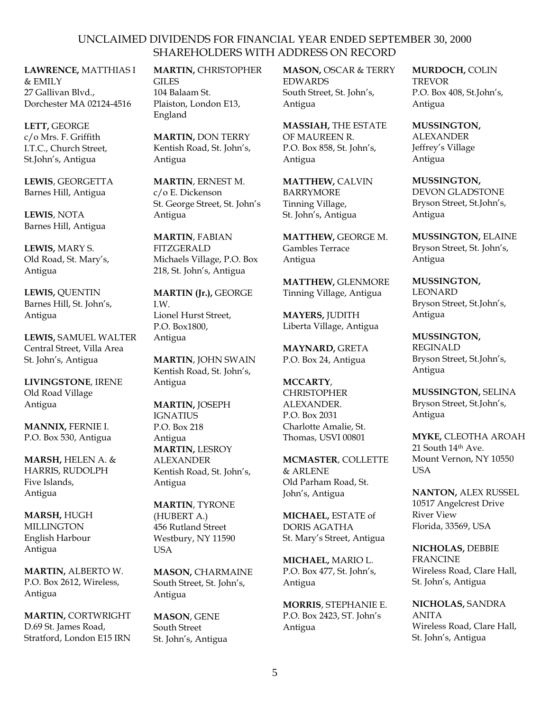**LAWRENCE,** MATTHIAS I  $&$  EMILY 27 Gallivan Blvd., Dorchester MA 02124-4516

**LETT,** GEORGE c/o Mrs. F. Griffith I.T.C., Church Street, St.John's, Antigua

**LEWIS**, GEORGETTA Barnes Hill, Antigua

**LEWIS**, NOTA Barnes Hill, Antigua

**LEWIS,** MARY S. Old Road, St. Mary's, Antigua

**LEWIS,** QUENTIN Barnes Hill, St. John's, Antigua

**LEWIS,** SAMUEL WALTER Central Street, Villa Area St. John's, Antigua

**LIVINGSTONE**, IRENE Old Road Village Antigua

**MANNIX,** FERNIE I. P.O. Box 530, Antigua

**MARSH,** HELEN A. & HARRIS, RUDOLPH Five Islands, Antigua

**MARSH,** HUGH **MILLINGTON** English Harbour Antigua

**MARTIN,** ALBERTO W. P.O. Box 2612, Wireless, Antigua

**MARTIN,** CORTWRIGHT D.69 St. James Road, Stratford, London E15 IRN

**MARTIN,** CHRISTOPHER GILES

104 Balaam St. Plaiston, London E13, England

**MARTIN,** DON TERRY Kentish Road, St. John's, Antigua

**MARTIN**, ERNEST M. c/o E. Dickenson St. George Street, St. John's Antigua

**MARTIN**, FABIAN FITZGERALD Michaels Village, P.O. Box 218, St. John's, Antigua

**MARTIN (Jr.),** GEORGE I.W. Lionel Hurst Street, P.O. Box1800, Antigua

**MARTIN**, JOHN SWAIN Kentish Road, St. John's, Antigua

**MARTIN,** JOSEPH IGNATIUS P.O. Box 218 Antigua **MARTIN,** LESROY ALEXANDER Kentish Road, St. John's, Antigua

**MARTIN**, TYRONE (HUBERT A.) 456 Rutland Street Westbury, NY 11590 USA

**MASON,** CHARMAINE South Street, St. John's, Antigua

**MASON**, GENE South Street St. John's, Antigua **MASON,** OSCAR & TERRY EDWARDS South Street, St. John's, Antigua

**MASSIAH,** THE ESTATE OF MAUREEN R. P.O. Box 858, St. John's, Antigua

**MATTHEW,** CALVIN BARRYMORE Tinning Village, St. John's, Antigua

**MATTHEW,** GEORGE M. Gambles Terrace Antigua

**MATTHEW,** GLENMORE Tinning Village, Antigua

**MAYERS,** JUDITH Liberta Village, Antigua

**MAYNARD,** GRETA P.O. Box 24, Antigua

**MCCARTY**, **CHRISTOPHER** ALEXANDER. P.O. Box 2031 Charlotte Amalie, St. Thomas, USVI 00801

**MCMASTER**, COLLETTE & ARLENE Old Parham Road, St. John's, Antigua

**MICHAEL,** ESTATE of DORIS AGATHA St. Mary's Street, Antigua

**MICHAEL,** MARIO L. P.O. Box 477, St. John's, Antigua

**MORRIS**, STEPHANIE E. P.O. Box 2423, ST. John's Antigua

**MURDOCH,** COLIN TREVOR P.O. Box 408, St.John's, Antigua

**MUSSINGTON,** ALEXANDER

Jeffrey's Village Antigua

**MUSSINGTON,** DEVON GLADSTONE Bryson Street, St.John's, Antigua

**MUSSINGTON,** ELAINE Bryson Street, St. John's, Antigua

**MUSSINGTON,** LEONARD Bryson Street, St.John's, Antigua

**MUSSINGTON,**  REGINALD Bryson Street, St.John's, Antigua

**MUSSINGTON,** SELINA Bryson Street, St.John's, Antigua

**MYKE,** CLEOTHA AROAH 21 South 14th Ave. Mount Vernon, NY 10550 **USA** 

**NANTON,** ALEX RUSSEL 10517 Angelcrest Drive River View Florida, 33569, USA

**NICHOLAS,** DEBBIE FRANCINE Wireless Road, Clare Hall, St. John's, Antigua

**NICHOLAS,** SANDRA ANITA Wireless Road, Clare Hall, St. John's, Antigua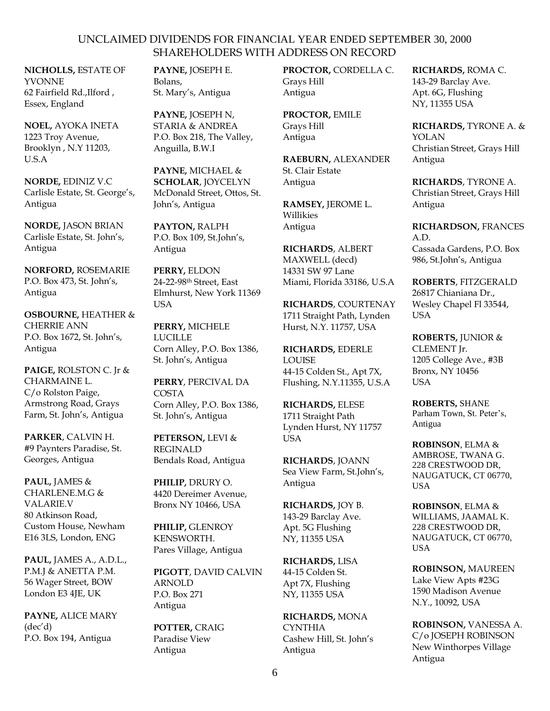**NICHOLLS,** ESTATE OF YVONNE 62 Fairfield Rd.,Ilford , Essex, England

**NOEL,** AYOKA INETA 1223 Troy Avenue, Brooklyn , N.Y 11203, U.S.A

**NORDE,** EDINIZ V.C Carlisle Estate, St. George's, Antigua

**NORDE,** JASON BRIAN Carlisle Estate, St. John's, Antigua

**NORFORD,** ROSEMARIE P.O. Box 473, St. John's, Antigua

**OSBOURNE,** HEATHER & CHERRIE ANN P.O. Box 1672, St. John's, Antigua

**PAIGE,** ROLSTON C. Jr & CHARMAINE L. C/o Rolston Paige, Armstrong Road, Grays Farm, St. John's, Antigua

**PARKER**, CALVIN H. #9 Paynters Paradise, St. Georges, Antigua

**PAUL,** JAMES & CHARLENE.M.G & VALARIE.V 80 Atkinson Road, Custom House, Newham E16 3LS, London, ENG

**PAUL,** JAMES A., A.D.L., P.M.J & ANETTA P.M. 56 Wager Street, BOW London E3 4JE, UK

**PAYNE,** ALICE MARY (dec'd) P.O. Box 194, Antigua

**PAYNE,** JOSEPH E. Bolans, St. Mary's, Antigua

**PAYNE,** JOSEPH N, STARIA & ANDREA P.O. Box 218, The Valley, Anguilla, B.W.I

**PAYNE,** MICHAEL & **SCHOLAR**, JOYCELYN McDonald Street, Ottos, St. John's, Antigua

**PAYTON,** RALPH P.O. Box 109, St.John's, Antigua

**PERRY,** ELDON 24-22-98th Street, East Elmhurst, New York 11369 **USA** 

**PERRY,** MICHELE **LUCILLE** Corn Alley, P.O. Box 1386, St. John's, Antigua

**PERRY**, PERCIVAL DA COSTA Corn Alley, P.O. Box 1386, St. John's, Antigua

**PETERSON,** LEVI & REGINALD Bendals Road, Antigua

**PHILIP,** DRURY O. 4420 Dereimer Avenue, Bronx NY 10466, USA

**PHILIP,** GLENROY KENSWORTH. Pares Village, Antigua

**PIGOTT**, DAVID CALVIN ARNOLD P.O. Box 271 Antigua

**POTTER,** CRAIG Paradise View Antigua

**PROCTOR,** CORDELLA C. Grays Hill Antigua

**PROCTOR,** EMILE Grays Hill Antigua

**RAEBURN,** ALEXANDER St. Clair Estate Antigua

**RAMSEY,** JEROME L. Willikies Antigua

**RICHARDS**, ALBERT MAXWELL (decd) 14331 SW 97 Lane Miami, Florida 33186, U.S.A

**RICHARDS**, COURTENAY 1711 Straight Path, Lynden Hurst, N.Y. 11757, USA

**RICHARDS,** EDERLE LOUISE 44-15 Colden St., Apt 7X, Flushing, N.Y.11355, U.S.A

**RICHARDS,** ELESE 1711 Straight Path Lynden Hurst, NY 11757 USA

**RICHARDS**, JOANN Sea View Farm, St.John's, Antigua

**RICHARDS,** JOY B. 143-29 Barclay Ave. Apt. 5G Flushing NY, 11355 USA

**RICHARDS,** LISA 44-15 Colden St. Apt 7X, Flushing NY, 11355 USA

**RICHARDS,** MONA CYNTHIA Cashew Hill, St. John's Antigua

**RICHARDS,** ROMA C. 143-29 Barclay Ave. Apt. 6G, Flushing NY, 11355 USA

**RICHARDS,** TYRONE A. & YOLAN Christian Street, Grays Hill Antigua

**RICHARDS**, TYRONE A. Christian Street, Grays Hill Antigua

**RICHARDSON,** FRANCES A.D. Cassada Gardens, P.O. Box 986, St.John's, Antigua

**ROBERTS**, FITZGERALD 26817 Chianiana Dr., Wesley Chapel Fl 33544, USA

**ROBERTS,** JUNIOR & CLEMENT Jr. 1205 College Ave., #3B Bronx, NY 10456 USA

**ROBERTS,** SHANE Parham Town, St. Peter's, Antigua

**ROBINSON**, ELMA & AMBROSE, TWANA G. 228 CRESTWOOD DR, NAUGATUCK, CT 06770, USA

**ROBINSON**, ELMA & WILLIAMS, JAAMAL K. 228 CRESTWOOD DR, NAUGATUCK, CT 06770, USA

**ROBINSON,** MAUREEN Lake View Apts #23G 1590 Madison Avenue N.Y., 10092, USA

**ROBINSON,** VANESSA A. C/o JOSEPH ROBINSON New Winthorpes Village Antigua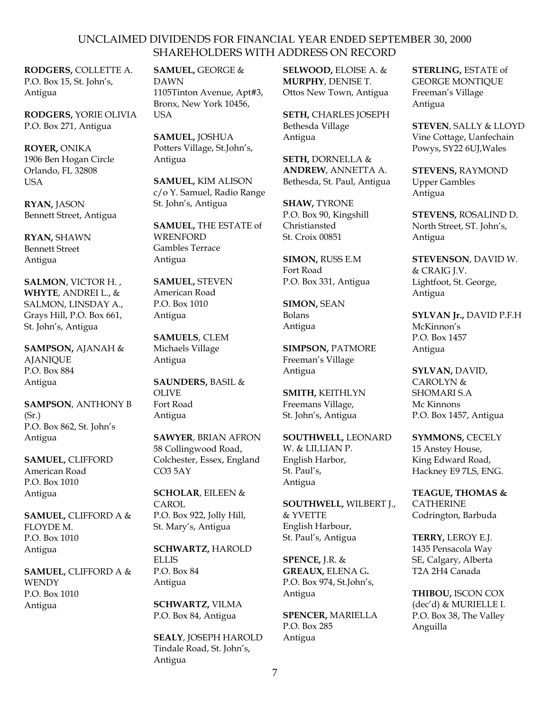**RODGERS,** COLLETTE A. P.O. Box 15, St. John's, Antigua

**RODGERS,** YORIE OLIVIA P.O. Box 271, Antigua

**ROYER,** ONIKA 1906 Ben Hogan Circle Orlando, FL 32808 USA

**RYAN,** JASON Bennett Street, Antigua

**RYAN,** SHAWN Bennett Street Antigua

**SALMON**, VICTOR H. , **WHYTE**, ANDREI L., & SALMON, LINSDAY A., Grays Hill, P.O. Box 661, St. John's, Antigua

**SAMPSON,** AJANAH & AJANIQUE P.O. Box 884 Antigua

**SAMPSON**, ANTHONY B  $(Sr.)$ P.O. Box 862, St. John's Antigua

**SAMUEL,** CLIFFORD American Road P.O. Box 1010 Antigua

**SAMUEL,** CLIFFORD A & FLOYDE M. P.O. Box 1010 Antigua

**SAMUEL,** CLIFFORD A & **WENDY** P.O. Box 1010 Antigua

**SAMUEL,** GEORGE & DAWN 1105Tinton Avenue, Apt#3, Bronx, New York 10456, **USA** 

**SAMUEL,** JOSHUA Potters Village, St.John's, Antigua

**SAMUEL,** KIM ALISON c/o Y. Samuel, Radio Range St. John's, Antigua

**SAMUEL,** THE ESTATE of **WRENFORD** Gambles Terrace Antigua

**SAMUEL,** STEVEN American Road P.O. Box 1010 Antigua

**SAMUELS**, CLEM Michaels Village Antigua

**SAUNDERS,** BASIL & OLIVE Fort Road Antigua

**SAWYER**, BRIAN AFRON 58 Collingwood Road, Colchester, Essex, England CO3 5AY

**SCHOLAR**, EILEEN & **CAROL** P.O. Box 922, Jolly Hill, St. Mary's, Antigua

**SCHWARTZ,** HAROLD ELLIS P.O. Box 84 Antigua

**SCHWARTZ,** VILMA P.O. Box 84, Antigua

**SEALY**, JOSEPH HAROLD Tindale Road, St. John's, Antigua

**SELWOOD,** ELOISE A. & **MURPHY**, DENISE T. Ottos New Town, Antigua

**SETH,** CHARLES JOSEPH Bethesda Village Antigua

**SETH,** DORNELLA & **ANDREW**, ANNETTA A. Bethesda, St. Paul, Antigua

**SHAW,** TYRONE P.O. Box 90, Kingshill Christiansted St. Croix 00851

**SIMON,** RUSS E.M Fort Road P.O. Box 331, Antigua

**SIMON,** SEAN Bolans Antigua

**SIMPSON,** PATMORE Freeman's Village Antigua

**SMITH,** KEITHLYN Freemans Village, St. John's, Antigua

**SOUTHWELL,** LEONARD W. & LILLIAN P. English Harbor, St. Paul's, Antigua

**SOUTHWELL,** WILBERT J., & YVETTE English Harbour, St. Paul's, Antigua

**SPENCE,** J.R. & **GREAUX,** ELENA G**.** P.O. Box 974, St.John's, Antigua

**SPENCER,** MARIELLA P.O. Box 285 Antigua

**STERLING,** ESTATE of GEORGE MONTIQUE Freeman's Village Antigua

**STEVEN**, SALLY & LLOYD Vine Cottage, Uanfechain Powys, SY22 6UJ,Wales

**STEVENS,** RAYMOND Upper Gambles Antigua

**STEVENS,** ROSALIND D. North Street, ST. John's, Antigua

**STEVENSON**, DAVID W. & CRAIG J.V. Lightfoot, St. George, Antigua

**SYLVAN Jr.,** DAVID P.F.H McKinnon's P.O. Box 1457 Antigua

**SYLVAN,** DAVID, CAROLYN & SHOMARI S.A Mc Kinnons P.O. Box 1457, Antigua

**SYMMONS,** CECELY 15 Anstey House, King Edward Road, Hackney E9 7LS, ENG.

**TEAGUE, THOMAS &**  CATHERINE Codrington, Barbuda

**TERRY,** LEROY E.J. 1435 Pensacola Way SE, Calgary, Alberta T2A 2H4 Canada

**THIBOU,** ISCON COX (dec'd) & MURIELLE I. P.O. Box 38, The Valley Anguilla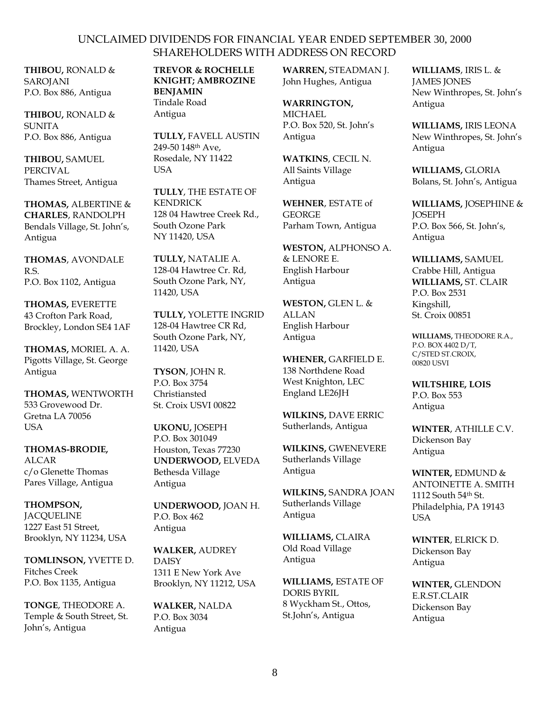**THIBOU,** RONALD & SAROJANI P.O. Box 886, Antigua

**THIBOU,** RONALD & SUNITA P.O. Box 886, Antigua

**THIBOU,** SAMUEL PERCIVAL Thames Street, Antigua

**THOMAS,** ALBERTINE & **CHARLES**, RANDOLPH Bendals Village, St. John's, Antigua

**THOMAS**, AVONDALE R.S. P.O. Box 1102, Antigua

**THOMAS,** EVERETTE 43 Crofton Park Road, Brockley, London SE4 1AF

**THOMAS,** MORIEL A. A. Pigotts Village, St. George Antigua

**THOMAS,** WENTWORTH 533 Grovewood Dr. Gretna LA 70056 **USA** 

**THOMAS-BRODIE,**  ALCAR c/o Glenette Thomas Pares Village, Antigua

**THOMPSON, JACOUELINE** 1227 East 51 Street, Brooklyn, NY 11234, USA

**TOMLINSON,** YVETTE D. Fitches Creek P.O. Box 1135, Antigua

**TONGE**, THEODORE A. Temple & South Street, St. John's, Antigua

**TREVOR & ROCHELLE KNIGHT; AMBROZINE BENJAMIN** Tindale Road Antigua

**TULLY,** FAVELL AUSTIN 249-50 148th Ave, Rosedale, NY 11422 USA

**TULLY**, THE ESTATE OF KENDRICK 128 04 Hawtree Creek Rd., South Ozone Park NY 11420, USA

**TULLY,** NATALIE A. 128-04 Hawtree Cr. Rd, South Ozone Park, NY, 11420, USA

**TULLY,** YOLETTE INGRID 128-04 Hawtree CR Rd, South Ozone Park, NY, 11420, USA

**TYSON**, JOHN R. P.O. Box 3754 Christiansted St. Croix USVI 00822

**UKONU,** JOSEPH P.O. Box 301049 Houston, Texas 77230 **UNDERWOOD,** ELVEDA Bethesda Village Antigua

**UNDERWOOD,** JOAN H. P.O. Box 462 Antigua

**WALKER,** AUDREY **DAISY** 1311 E New York Ave Brooklyn, NY 11212, USA

**WALKER,** NALDA P.O. Box 3034 Antigua

**WARREN,** STEADMAN J. John Hughes, Antigua

**WARRINGTON, MICHAEL** P.O. Box 520, St. John's Antigua

**WATKINS**, CECIL N. All Saints Village Antigua

**WEHNER**, ESTATE of **GEORGE** Parham Town, Antigua

**WESTON,** ALPHONSO A. & LENORE E. English Harbour Antigua

**WESTON,** GLEN L. & ALLAN English Harbour Antigua

**WHENER,** GARFIELD E. 138 Northdene Road West Knighton, LEC England LE26JH

**WILKINS,** DAVE ERRIC Sutherlands, Antigua

**WILKINS,** GWENEVERE Sutherlands Village Antigua

**WILKINS,** SANDRA JOAN Sutherlands Village Antigua

**WILLIAMS,** CLAIRA Old Road Village Antigua

**WILLIAMS,** ESTATE OF DORIS BYRIL 8 Wyckham St., Ottos, St.John's, Antigua

**WILLIAMS**, IRIS L. & JAMES JONES New Winthropes, St. John's Antigua

**WILLIAMS,** IRIS LEONA New Winthropes, St. John's Antigua

**WILLIAMS,** GLORIA Bolans, St. John's, Antigua

**WILLIAMS,** JOSEPHINE & **JOSEPH** P.O. Box 566, St. John's, Antigua

**WILLIAMS,** SAMUEL Crabbe Hill, Antigua **WILLIAMS,** ST. CLAIR P.O. Box 2531 Kingshill, St. Croix 00851

**WILLIAMS,** THEODORE R.A., P.O. BOX 4402 D/T, C/STED ST.CROIX, 00820 USVI

**WILTSHIRE, LOIS** P.O. Box 553 Antigua

**WINTER**, ATHILLE C.V. Dickenson Bay Antigua

**WINTER,** EDMUND & ANTOINETTE A. SMITH 1112 South 54th St. Philadelphia, PA 19143 USA

**WINTER**, ELRICK D. Dickenson Bay Antigua

**WINTER,** GLENDON E.R.ST.CLAIR Dickenson Bay Antigua